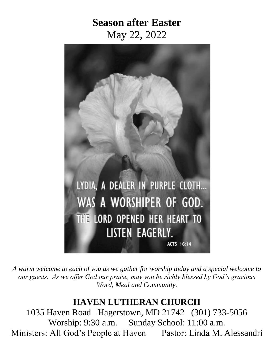# **Season after Easter** May 22, 2022



*A warm welcome to each of you as we gather for worship today and a special welcome to our guests. As we offer God our praise, may you be richly blessed by God's gracious Word, Meal and Community.*

# **HAVEN LUTHERAN CHURCH**

1035 Haven Road Hagerstown, MD 21742 (301) 733-5056 Worship: 9:30 a.m. Sunday School: 11:00 a.m. Ministers: All God's People at Haven Pastor: Linda M. Alessandri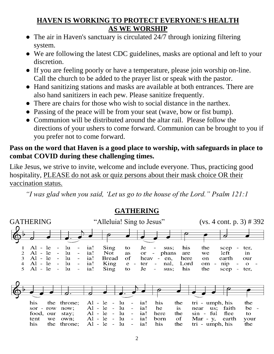#### **HAVEN IS WORKING TO PROTECT EVERYONE'S HEALTH AS WE WORSHIP**

- The air in Haven's sanctuary is circulated 24/7 through ionizing filtering system.
- We are following the latest CDC guidelines, masks are optional and left to your discretion.
- If you are feeling poorly or have a temperature, please join worship on-line. Call the church to be added to the prayer list or speak with the pastor.
- Hand sanitizing stations and masks are available at both entrances. There are also hand sanitizers in each pew. Please sanitize frequently.
- There are chairs for those who wish to social distance in the narthex.
- Passing of the peace will be from your seat (wave, bow or fist bump).
- Communion will be distributed around the altar rail. Please follow the directions of your ushers to come forward. Communion can be brought to you if you prefer not to come forward.

### **Pass on the word that Haven is a good place to worship, with safeguards in place to combat COVID during these challenging times.**

Like Jesus, we strive to invite, welcome and include everyone. Thus, practicing good hospitality, PLEASE do not ask or quiz persons about their mask choice OR their vaccination status.

*"I was glad when you said, 'Let us go to the house of the Lord." Psalm 121:1*



**GATHERING**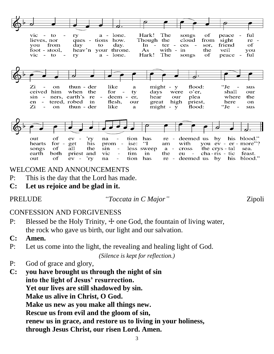

peace vic lone. Hark! The songs of ful  $\sim$   $\mathbf{to}$ ry  $a$ lieves, nor Though the ques - tions how. cloud from sight re you day  $In$ ces sor. friend of from to day.  $\sim$ ter  $\sim$ foot - stool, heav'n your throne.  $As$ with the  $-$  in veil you Hark! The οf ful  $\overline{\text{vic}}$  - to  $a - l$ one. songs peace ry  $\lq$  Je Zi thun - der like might - y flood: <sub>on</sub>  $\mathbf{a}$ sus ceived him when the for ty days were o'er, shall our sin  $\sim$ ners, earth's re deem er. hear our plea where the en tered, robed in flesh. our great high priest, here <sub>on</sub> Zi  $might - y$ ʻJe on thun - der like a flood: sus of by out ev 'ry na tion has re deemed us his blood."  $\dddot{\mathbf{I}}$ for  $$ his you ev - er - more"? hearts get prom ise: am with songs оf all the sin less sweep  $a$ cross the crys - tal sea.

WELCOME AND ANNOUNCEMENTS

ev  $\sim$ 

P: This is the day that the Lord has made.

priest and

 $\cdot$ ry

**C: Let us rejoice and be glad in it.**

both

оf

earth

out

#### PRELUDE *"Toccata in C Major"* Zipoli

tim

tion

in

has

the

 $re -$ 

eu

 $\sim$   $-$ 

deemed us by

cha-ris - tic

his

feast.

blood."

#### CONFESSION AND FORGIVENESS

- P: Blessed be the Holy Trinity,  $\pm$  one God, the fountain of living water, the rock who gave us birth, our light and our salvation.
- **C: Amen.**
- P: Let us come into the light, the revealing and healing light of God.

vic

na

*(Silence is kept for reflection.)*

- P: God of grace and glory,
- **C: you have brought us through the night of sin into the light of Jesus' resurrection. Yet our lives are still shadowed by sin. Make us alive in Christ, O God. Make us new as you make all things new. Rescue us from evil and the gloom of sin, renew us in grace, and restore us to living in your holiness, through Jesus Christ, our risen Lord. Amen.**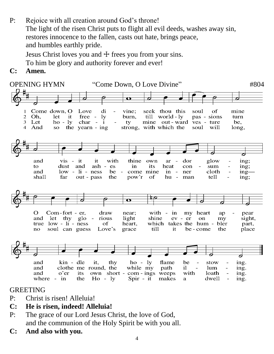- P: Rejoice with all creation around God's throne! The light of the risen Christ puts to flight all evil deeds, washes away sin, restores innocence to the fallen, casts out hate, brings peace, and humbles earthly pride. Jesus Christ loves you and  $\dagger$  frees you from your sins. To him be glory and authority forever and ever!
- **C: Amen.**



#### GREETING

- P: Christ is risen! Alleluia!
- **C: He is risen, indeed! Alleluia!**
- P: The grace of our Lord Jesus Christ, the love of God, and the communion of the Holy Spirit be with you all.
- **C: And also with you.**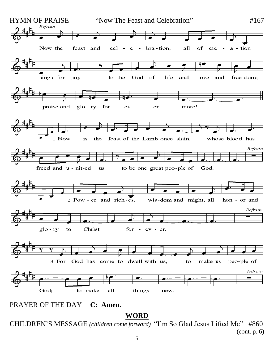

**WORD**

CHILDREN'S MESSAGE *(children come forward)* "I'm So Glad Jesus Lifted Me" #860 (cont. p. 6)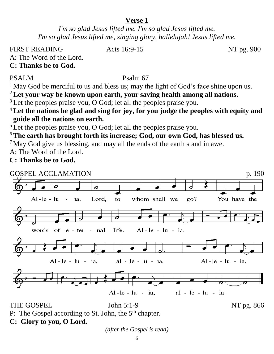#### **Verse 1**

*I'm so glad Jesus lifted me. I'm so glad Jesus lifted me. I'm so glad Jesus lifted me, singing glory, hallelujah! Jesus lifted me.*

FIRST READING Acts 16:9-15 NT pg. 900

A: The Word of the Lord.

**C: Thanks be to God.**

#### PSALM [Psalm 67](https://members.sundaysandseasons.com/Home/TextsAndResources/2022-5-1/2306)

<sup>1</sup> May God be merciful to us and bless us; may the light of God's face shine upon us.

<sup>2</sup>**Let your way be known upon earth, your saving health among all nations.**

<sup>3</sup> Let the peoples praise you, O God; let all the peoples praise you.

<sup>4</sup>**Let the nations be glad and sing for joy, for you judge the peoples with equity and guide all the nations on earth.**

 $5$  Let the peoples praise you, O God; let all the peoples praise you.

<sup>6</sup>**The earth has brought forth its increase; God, our own God, has blessed us.**

 $<sup>7</sup>$  May God give us blessing, and may all the ends of the earth stand in awe.</sup> A: The Word of the Lord.

**C: Thanks be to God.**



P: The Gospel according to St. John, the  $5<sup>th</sup>$  chapter.

**C: Glory to you, O Lord.**

*(after the Gospel is read)*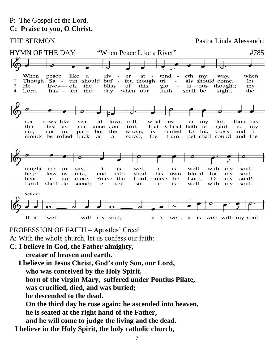THE SERMON Pastor Linda Alessandri

#### HYMN OF THE DAY "When Peace Like a River"  $\#785$ When like tend when peace a riv er eth my way,  $\mathbf{1}$ at  $\overline{c}$ Though **Sa** tan should buf  $\sim$ fet, though tri als should come, let 3 lives— oh, the bliss thought; He of this glo  $ri - *ous*$ my  $\overline{4}$ Lord, has - ten the day when our faith shall be sight, the my sor rows like sea bil - lows roll. what - ev er lot. thou hast Christ hath re - gard - ed that this blest as  $\sim$ sur - ance con - trol. my whole, sin. not in part, but the is nailed to his cross and  $\mathbf I$ clouds be rolled back as  $\mathbf{a}$ scroll, the trum - pet shall sound and the taught me to say, it is. well. it is well with my soul. help less es - tate, and hath shed **his** own blood for my soul. Lord, praise the bear it no more. Praise the Lord,  $\mathbf O$ my soul! Lord shall de - scend; e - ven **SO** it is well with my soul. Refrain It is well with my soul, it is well, it is well with my soul.

PROFESSION OF FAITH – Apostles' Creed

A: With the whole church, let us confess our faith:

**C: I believe in God, the Father almighty,**

**creator of heaven and earth.**

 **I believe in Jesus Christ, God's only Son, our Lord, who was conceived by the Holy Spirit, born of the virgin Mary, suffered under Pontius Pilate, was crucified, died, and was buried; he descended to the dead. On the third day he rose again; he ascended into heaven, he is seated at the right hand of the Father, and he will come to judge the living and the dead. I believe in the Holy Spirit, the holy catholic church,**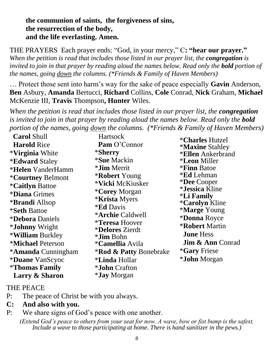#### **the communion of saints, the forgiveness of sins, the resurrection of the body, and the life everlasting. Amen.**

THE PRAYERS Each prayer ends: "God, in your mercy," C**: "hear our prayer."** *When the petition is read that includes those listed in our prayer list, the congregation is invited to join in that prayer by reading aloud the names below. Read only the bold portion of the names, going down the columns. (\*Friends & Family of Haven Members)*

… Protect those sent into harm's way for the sake of peace especially **Gavin** Anderson, **Ben** Asbury, **Amanda** Bertucci, **Richard** Collins, **Cole** Conrad, **Nick** Graham, **Michael** McKenzie III, **Travis** Thompson**, Hunter** Wiles.

*When the petition is read that includes those listed in our prayer list, the congregation is invited to join in that prayer by reading aloud the names below. Read only the bold portion of the names, going down the columns. (\*Friends & Family of Haven Members)*

| <b>Carol Shull</b>              | Hartsock                                                      | <i><b>*Charles Hutzel</b></i>                     |
|---------------------------------|---------------------------------------------------------------|---------------------------------------------------|
| <b>Harold Rice</b>              | Pam O'Connor                                                  | <i><b>*Maxine Stahley</b></i>                     |
| <i><b>*Virginia White</b></i>   | *Sherry                                                       | <b>*Ellen</b> Ankerbrand                          |
| <b>*Edward Staley</b>           | <i><b>*Sue Mackin</b></i>                                     | <i><b>*Leon Miller</b></i>                        |
| <i><b>*Helen</b></i> VanderHamm | <i>*Jim Merrit</i>                                            | <i><b>*Finn Batoe</b></i>                         |
| <i><b>*Courtney Belmont</b></i> | <b>*Robert</b> Young                                          | <i><b>*Ed Lehman</b></i>                          |
| <i><b>*Caitlyn Battoe</b></i>   | *Vicki McKiusker                                              | <i><b>*Dee</b></i> Cooper                         |
| <i><b>*Diana Grimes</b></i>     | <i>*Corey Morgan</i>                                          | <i>*Jessica Kline</i><br><i><b>*Li Family</b></i> |
| <b>*Brandi</b> Allsop           | <i><b>*Krista Myers</b></i>                                   | <i><b>*Carolyn Kline</b></i>                      |
| <i><b>*Seth Battoe</b></i>      | <i><b>*Ed Davis</b></i>                                       | <i><b>*Marge Young</b></i>                        |
| <i><b>*Debora Daniels</b></i>   | *Archie Caldwell                                              | <i><b>*Donna Royce</b></i>                        |
| <i>*Johnny Wright</i>           | <i><b>*Teresa Hoover</b></i><br><i><b>*Delores Zierdt</b></i> | <b>*Robert Martin</b>                             |
| * <b>William</b> Burkley        | <i>*Jim Bohn</i>                                              | <b>June Hess</b>                                  |
| <i><b>*Michael Peterson</b></i> | <i><b>*Camellia Avila</b></i>                                 | <b>Jim &amp; Ann Conrad</b>                       |
| * <b>Amanda</b> Cunningham      | <b>*Rod &amp; Patty Bonebrake</b>                             | <i><b>*Gary Friese</b></i>                        |
| *Duane VanScyoc                 | <i><b>*Linda Hollar</b></i>                                   | <i><b>*John Morgan</b></i>                        |
| <i><b>*Thomas Family</b></i>    | <i><b>*John Crafton</b></i>                                   |                                                   |
| Larry & Sharon                  | <i>*Jay Morgan</i>                                            |                                                   |

#### THE PEACE

- P: The peace of Christ be with you always.
- **C: And also with you.**
- P: We share signs of God's peace with one another.

*(Extend God's peace to others from your seat for now. A wave, bow or fist bump is the safest. Include a wave to those participating at home. There is hand sanitizer in the pews.)*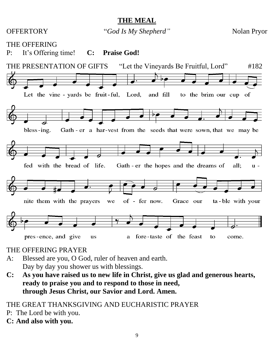**THE MEAL**

|    | <b>OFFERTORY</b><br>"God Is My Shepherd"   |                                                                                                             | <b>Nolan Pryor</b>        |
|----|--------------------------------------------|-------------------------------------------------------------------------------------------------------------|---------------------------|
| P: | <b>THE OFFERING</b><br>It's Offering time! | <b>Praise God!</b><br>$\bf C$ :                                                                             |                           |
|    | THE PRESENTATION OF GIFTS                  | "Let the Vineyards Be Fruitful, Lord"                                                                       | #182                      |
|    | Let the vine - yards be fruit-ful, Lord,   | and fill                                                                                                    | to the brim our cup<br>of |
|    | bless-ing.<br>fed with the bread of life.  | Gath - er a har-vest from the seeds that were sown, that we may be<br>Gath - er the hopes and the dreams of | all:<br>u -               |
|    | nite them with the prayers                 | of - fer now.<br>Grace our<br>we                                                                            | ta - ble with your        |
|    | pres-ence, and give                        | fore-taste of the feast<br>us<br>a                                                                          | to<br>come.               |

# THE OFFERING PRAYER

- A: Blessed are you, O God, ruler of heaven and earth. Day by day you shower us with blessings.
- **C: As you have raised us to new life in Christ, give us glad and generous hearts, ready to praise you and to respond to those in need, through Jesus Christ, our Savior and Lord. Amen.**

# THE GREAT THANKSGIVING AND EUCHARISTIC PRAYER

- P: The Lord be with you.
- **C: And also with you.**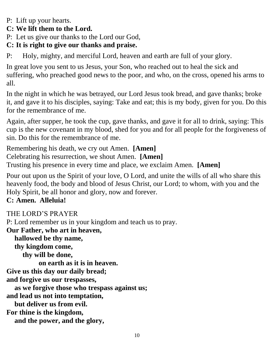#### P: Lift up your hearts.

#### **C: We lift them to the Lord.**

P: Let us give our thanks to the Lord our God,

#### **C: It is right to give our thanks and praise.**

P: Holy, mighty, and merciful Lord, heaven and earth are full of your glory.

In great love you sent to us Jesus, your Son, who reached out to heal the sick and suffering, who preached good news to the poor, and who, on the cross, opened his arms to all.

In the night in which he was betrayed, our Lord Jesus took bread, and gave thanks; broke it, and gave it to his disciples, saying: Take and eat; this is my body, given for you. Do this for the remembrance of me.

Again, after supper, he took the cup, gave thanks, and gave it for all to drink, saying: This cup is the new covenant in my blood, shed for you and for all people for the forgiveness of sin. Do this for the remembrance of me.

Remembering his death, we cry out Amen. **[Amen]** Celebrating his resurrection, we shout Amen. **[Amen]** Trusting his presence in every time and place, we exclaim Amen. **[Amen]**

Pour out upon us the Spirit of your love, O Lord, and unite the wills of all who share this heavenly food, the body and blood of Jesus Christ, our Lord; to whom, with you and the Holy Spirit, be all honor and glory, now and forever.

#### **C: Amen. Alleluia!**

#### THE LORD'S PRAYER

P: Lord remember us in your kingdom and teach us to pray.

**Our Father, who art in heaven,**

**hallowed be thy name,**

**thy kingdom come,**

**thy will be done,**

**on earth as it is in heaven.**

**Give us this day our daily bread;**

**and forgive us our trespasses,**

**as we forgive those who trespass against us;** 

**and lead us not into temptation,**

**but deliver us from evil.**

**For thine is the kingdom,** 

**and the power, and the glory,**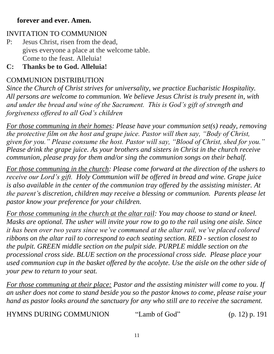#### **forever and ever. Amen.**

#### INVITATION TO COMMUNION

P: Jesus Christ, risen from the dead, gives everyone a place at the welcome table. Come to the feast. Alleluia!

#### **C: Thanks be to God. Alleluia!**

#### COMMUNION DISTRIBUTION

*Since the Church of Christ strives for universality, we practice Eucharistic Hospitality. All persons are welcome to communion. We believe Jesus Christ is truly present in, with and under the bread and wine of the Sacrament. This is God's gift of strength and forgiveness offered to all God's children* 

*For those communing in their homes: Please have your communion set(s) ready, removing the protective film on the host and grape juice. Pastor will then say, "Body of Christ, given for you." Please consume the host. Pastor will say, "Blood of Christ, shed for you." Please drink the grape juice. As your brothers and sisters in Christ in the church receive communion, please pray for them and/or sing the communion songs on their behalf.*

*For those communing in the church: Please come forward at the direction of the ushers to receive our Lord's gift. Holy Communion will be offered in bread and wine. Grape juice is also available in the center of the communion tray offered by the assisting minister. At the parent's discretion, children may receive a blessing or communion. Parents please let pastor know your preference for your children.* 

*For those communing in the church at the altar rail: You may choose to stand or kneel. Masks are optional. The usher will invite your row to go to the rail using one aisle. Since it has been over two years since we've communed at the altar rail, we've placed colored ribbons on the altar rail to correspond to each seating section. RED - section closest to the pulpit. GREEN middle section on the pulpit side. PURPLE middle section on the processional cross side. BLUE section on the processional cross side. Please place your used communion cup in the basket offered by the acolyte. Use the aisle on the other side of your pew to return to your seat.* 

*For those communing at their place: Pastor and the assisting minister will come to you. If an usher does not come to stand beside you so the pastor knows to come, please raise your hand as pastor looks around the sanctuary for any who still are to receive the sacrament.*

HYMNS DURING COMMUNION "Lamb of God" (p. 12) p. 191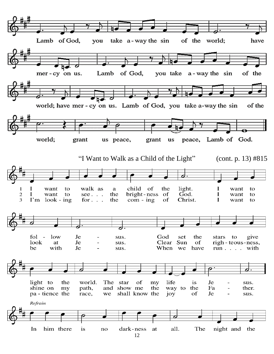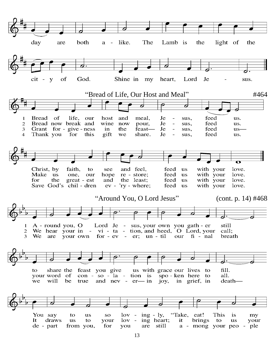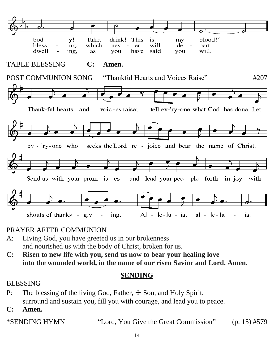

#### PRAYER AFTER COMMUNION

- A: Living God, you have greeted us in our brokenness and nourished us with the body of Christ, broken for us.
- **C: Risen to new life with you, send us now to bear your healing love into the wounded world, in the name of our risen Savior and Lord. Amen.**

#### **SENDING**

#### BLESSING

P: The blessing of the living God, Father,  $\pm$  Son, and Holy Spirit, surround and sustain you, fill you with courage, and lead you to peace.

**C: Amen.**

\*SENDING HYMN "Lord, You Give the Great Commission" (p. 15) #579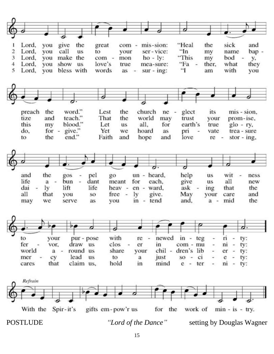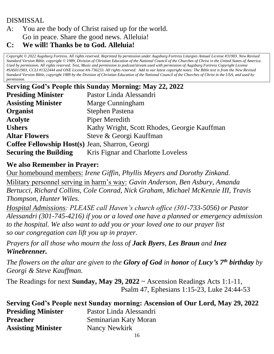#### DISMISSAL

#### A: You are the body of Christ raised up for the world. Go in peace. Share the good news. Alleluia!

#### **C: We will! Thanks be to God. Alleluia!**

*Copyright © 2022 Augsburg Fortress. All rights reserved. Reprinted by permission under Augsburg Fortress Liturgies Annual License #31903. New Revised Standard Version Bible, copyright © 1989, Division of Christian Education of the National Council of the Churches of Christ in the United States of America. Used by permission. All rights reserved. Text, Music and permission to podcast/stream used with permission of Augsburg Fortress Copyright License #SAS011903, CCLI #1322444 and ONE License #A-736233. All rights reserved. Add to our latest copyright notes: The Bible text is from the New Revised Standard Version Bible, copyright 1989 by the Division of Christian Education of the National Council of the Churches of Christ in the USA, and used by permission.*

| Serving God's People this Sunday Morning: May 22, 2022 |                                              |  |
|--------------------------------------------------------|----------------------------------------------|--|
| <b>Presiding Minister</b>                              | Pastor Linda Alessandri                      |  |
| <b>Assisting Minister</b>                              | Marge Cunningham                             |  |
| Organist                                               | <b>Stephen Pastena</b>                       |  |
| <b>Acolyte</b>                                         | <b>Piper Meredith</b>                        |  |
| <b>Ushers</b>                                          | Kathy Wright, Scott Rhodes, Georgie Kauffman |  |
| <b>Altar Flowers</b>                                   | Steve & Georgi Kauffman                      |  |
| Coffee Fellowship Host(s) Jean, Sharron, Georgi        |                                              |  |
| <b>Securing the Building</b>                           | Kris Fignar and Charlotte Loveless           |  |

#### **We also Remember in Prayer:**

Our homebound members: *Irene Giffin, Phyllis Meyers and Dorothy Zinkand.* Military personnel serving in harm's way: *Gavin Anderson, Ben Asbury, Amanda Bertucci, Richard Collins, Cole Conrad, Nick Graham, Michael McKenzie III, Travis Thompson, Hunter Wiles.* 

*Hospital Admissions: PLEASE call Haven's church office (301-733-5056) or Pastor Alessandri (301-745-4216) if you or a loved one have a planned or emergency admission to the hospital. We also want to add you or your loved one to our prayer list so our congregation can lift you up in prayer.*

*Prayers for all those who mourn the loss of Jack Byers, Les Braun and Inez Winebrenner.*

*The flowers on the altar are given to the Glory of God in honor of Lucy's 7th birthday by Georgi & Steve Kauffman.*

The Readings for next **Sunday, May 29, 2022** ~ Ascension Readings Acts 1:1-11, Psalm 47, Ephesians 1:15-23, Luke 24:44-53

| Serving God's People next Sunday morning: Ascension of Our Lord, May 29, 2022 |                         |  |
|-------------------------------------------------------------------------------|-------------------------|--|
| <b>Presiding Minister</b>                                                     | Pastor Linda Alessandri |  |
| <b>Preacher</b>                                                               | Seminarian Katy Moran   |  |
| <b>Assisting Minister</b>                                                     | Nancy Newkirk           |  |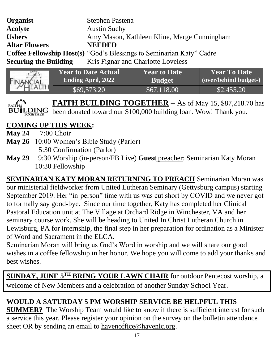| <b>Organist</b>              | Stephen Pastena                                                             |
|------------------------------|-----------------------------------------------------------------------------|
| <b>Acolyte</b>               | <b>Austin Suchy</b>                                                         |
| <b>Ushers</b>                | Amy Mason, Kathleen Kline, Marge Cunningham                                 |
| <b>Altar Flowers</b>         | <b>NEEDED</b>                                                               |
|                              | <b>Coffee Fellowship Host(s)</b> "God's Blessings to Seminarian Katy" Cadre |
| <b>Securing the Building</b> | Kris Fignar and Charlotte Loveless                                          |
|                              |                                                                             |

| $\epsilon$ | <b>Year to Date Actual</b> | <b>Year to Date</b> | <b>Year To Date</b>   |
|------------|----------------------------|---------------------|-----------------------|
| FINANCIAL  | <b>Ending April, 2022</b>  | <b>Budget</b>       | (over/behind budget-) |
|            | \$69,573.20                | \$67,118.00         | \$2,455.20            |

FAITH BUILDING TOGETHER – As of May 15, \$87,218.70 has  $\overline{DING}$  been donated toward our \$100,000 building loan. Wow! Thank you.

# **COMING UP THIS WEEK:**

- **May 24** 7:00 Choir
- **May 26** 10:00 Women's Bible Study (Parlor)
	- 5:30 Confirmation (Parlor)
- **May 29** 9:30 Worship (in-person/FB Live) **Guest** preacher: Seminarian Katy Moran 10:30 Fellowship

**SEMINARIAN KATY MORAN RETURNING TO PREACH** Seminarian Moran was our ministerial fieldworker from United Lutheran Seminary (Gettysburg campus) starting September 2019. Her "in-person" time with us was cut short by COVID and we never got to formally say good-bye. Since our time together, Katy has completed her Clinical Pastoral Education unit at The Village at Orchard Ridge in Winchester, VA and her seminary course work. She will be heading to United In Christ Lutheran Church in Lewisburg, PA for internship, the final step in her preparation for ordination as a Minister of Word and Sacrament in the ELCA.

Seminarian Moran will bring us God's Word in worship and we will share our good wishes in a coffee fellowship in her honor. We hope you will come to add your thanks and best wishes.

**SUNDAY, JUNE 5TH BRING YOUR LAWN CHAIR** for outdoor Pentecost worship, a welcome of New Members and a celebration of another Sunday School Year.

# **WOULD A SATURDAY 5 PM WORSHIP SERVICE BE HELPFUL THIS**

**SUMMER?** The Worship Team would like to know if there is sufficient interest for such a service this year. Please register your opinion on the survey on the bulletin attendance sheet OR by sending an email to [havenoffice@havenlc.org.](mailto:havenoffice@havenlc.org)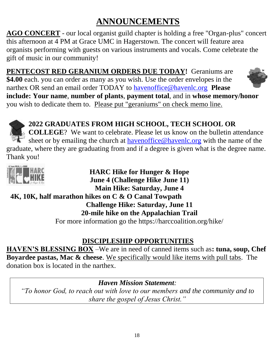# **ANNOUNCEMENTS**

**AGO CONCERT** - our local organist guild chapter is holding a free "Organ-plus" concert this afternoon at 4 PM at Grace UMC in Hagerstown. The concert will feature area organists performing with guests on various instruments and vocals. Come celebrate the gift of music in our community!

**PENTECOST RED GERANIUM ORDERS DUE TODAY!** Geraniums are **\$4.00** each. you can order as many as you wish. Use the order envelopes in the narthex OR send an email order TODAY to [havenoffice@havenlc.org](mailto:havenoffice@havenlc.org) **Please include: Your name**, **number of plants**, **payment total**, and in **whose memory/honor**  you wish to dedicate them to. Please put "geraniums" on check memo line.



# **2022 GRADUATES FROM HIGH SCHOOL, TECH SCHOOL OR**

**COLLEGE**? We want to celebrate. Please let us know on the bulletin attendance sheet or by emailing the church at **havenoffice@havenlc.org** with the name of the g[radua](http://suburbancorrespondent.blogspot.com/2013/05/finish-line.html)te, where they are graduating from and if a degree is given what is the degree name. Thank you!



**HARC Hike for Hunger & Hope June 4 (Challenge Hike June 11) Main Hike: Saturday, June 4**

# **[4K,](https://creativecommons.org/licenses/by-nc-nd/3.0/) 10K, half marathon hikes on C & O Canal Towpath**

**Challenge Hike: Saturday, June 11**

**20-mile hike on the Appalachian Trail**

For more information go the https://harccoalition.org/hike/

# **DISCIPLESHIP OPPORTUNITIES**

**HAVEN'S BLESSING BOX** –We are in need of canned items such as**: tuna, soup, Chef Boyardee pastas, Mac & cheese**. We specifically would like items with pull tabs. The donation box is located in the narthex.

*Haven Mission Statement:* 

*"To honor God, to reach out with love to our members and the community and to share the gospel of Jesus Christ."*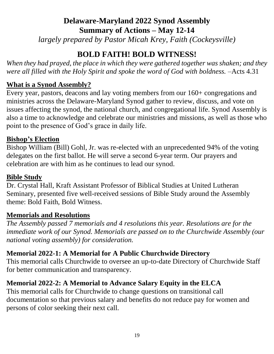# **Delaware-Maryland 2022 Synod Assembly Summary of Actions – May 12-14**

*largely prepared by Pastor Micah Krey, Faith (Cockeysville)*

# **BOLD FAITH! BOLD WITNESS!**

*When they had prayed, the place in which they were gathered together was shaken; and they were all filled with the Holy Spirit and spoke the word of God with boldness.*  $-A$ cts 4.31

#### **What is a Synod Assembly?**

Every year, pastors, deacons and lay voting members from our 160+ congregations and ministries across the Delaware-Maryland Synod gather to review, discuss, and vote on issues affecting the synod, the national church, and congregational life. Synod Assembly is also a time to acknowledge and celebrate our ministries and missions, as well as those who point to the presence of God's grace in daily life.

#### **Bishop's Election**

Bishop William (Bill) Gohl, Jr. was re-elected with an unprecedented 94% of the voting delegates on the first ballot. He will serve a second 6-year term. Our prayers and celebration are with him as he continues to lead our synod.

#### **Bible Study**

Dr. Crystal Hall, Kraft Assistant Professor of Biblical Studies at United Lutheran Seminary, presented five well-received sessions of Bible Study around the Assembly theme: Bold Faith, Bold Witness.

#### **Memorials and Resolutions**

*The Assembly passed 7 memorials and 4 resolutions this year. Resolutions are for the immediate work of our Synod. Memorials are passed on to the Churchwide Assembly (our national voting assembly) for consideration.*

# **Memorial 2022-1: A Memorial for A Public Churchwide Directory**

This memorial calls Churchwide to oversee an up-to-date Directory of Churchwide Staff for better communication and transparency.

# **Memorial 2022-2: A Memorial to Advance Salary Equity in the ELCA**

This memorial calls for Churchwide to change questions on transitional call documentation so that previous salary and benefits do not reduce pay for women and persons of color seeking their next call.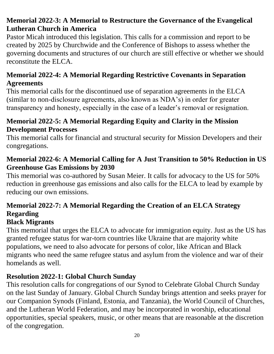# **Memorial 2022-3: A Memorial to Restructure the Governance of the Evangelical Lutheran Church in America**

Pastor Micah introduced this legislation. This calls for a commission and report to be created by 2025 by Churchwide and the Conference of Bishops to assess whether the governing documents and structures of our church are still effective or whether we should reconstitute the ELCA.

# **Memorial 2022-4: A Memorial Regarding Restrictive Covenants in Separation Agreements**

This memorial calls for the discontinued use of separation agreements in the ELCA (similar to non-disclosure agreements, also known as NDA's) in order for greater transparency and honesty, especially in the case of a leader's removal or resignation.

# **Memorial 2022-5: A Memorial Regarding Equity and Clarity in the Mission Development Processes**

This memorial calls for financial and structural security for Mission Developers and their congregations.

# **Memorial 2022-6: A Memorial Calling for A Just Transition to 50% Reduction in US Greenhouse Gas Emissions by 2030**

This memorial was co-authored by Susan Meier. It calls for advocacy to the US for 50% reduction in greenhouse gas emissions and also calls for the ELCA to lead by example by reducing our own emissions.

# **Memorial 2022-7: A Memorial Regarding the Creation of an ELCA Strategy Regarding**

# **Black Migrants**

This memorial that urges the ELCA to advocate for immigration equity. Just as the US has granted refugee status for war-torn countries like Ukraine that are majority white populations, we need to also advocate for persons of color, like African and Black migrants who need the same refugee status and asylum from the violence and war of their homelands as well.

# **Resolution 2022-1: Global Church Sunday**

This resolution calls for congregations of our Synod to Celebrate Global Church Sunday on the last Sunday of January. Global Church Sunday brings attention and seeks prayer for our Companion Synods (Finland, Estonia, and Tanzania), the World Council of Churches, and the Lutheran World Federation, and may be incorporated in worship, educational opportunities, special speakers, music, or other means that are reasonable at the discretion of the congregation.